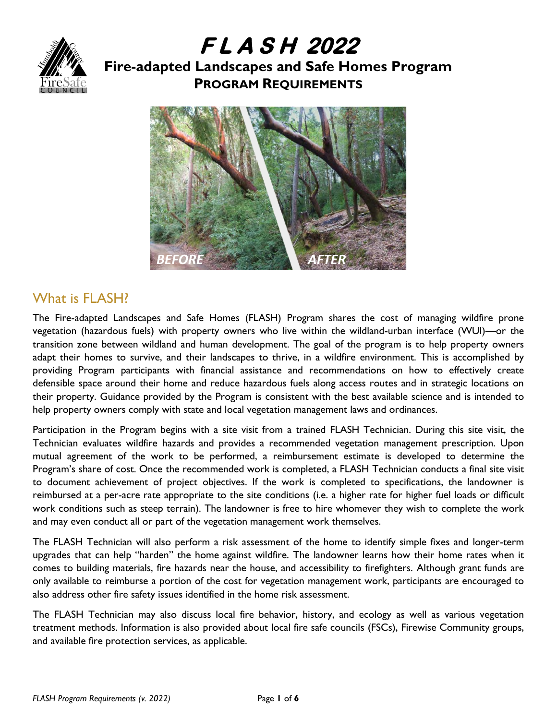

# **F L A S H 2022 Fire-adapted Landscapes and Safe Homes Program PROGRAM REQUIREMENTS**



## What is FLASH?

The Fire-adapted Landscapes and Safe Homes (FLASH) Program shares the cost of managing wildfire prone vegetation (hazardous fuels) with property owners who live within the wildland-urban interface (WUI)—or the transition zone between wildland and human development. The goal of the program is to help property owners adapt their homes to survive, and their landscapes to thrive, in a wildfire environment. This is accomplished by providing Program participants with financial assistance and recommendations on how to effectively create defensible space around their home and reduce hazardous fuels along access routes and in strategic locations on their property. Guidance provided by the Program is consistent with the best available science and is intended to help property owners comply with state and local vegetation management laws and ordinances.

Participation in the Program begins with a site visit from a trained FLASH Technician. During this site visit, the Technician evaluates wildfire hazards and provides a recommended vegetation management prescription. Upon mutual agreement of the work to be performed, a reimbursement estimate is developed to determine the Program's share of cost. Once the recommended work is completed, a FLASH Technician conducts a final site visit to document achievement of project objectives. If the work is completed to specifications, the landowner is reimbursed at a per-acre rate appropriate to the site conditions (i.e. a higher rate for higher fuel loads or difficult work conditions such as steep terrain). The landowner is free to hire whomever they wish to complete the work and may even conduct all or part of the vegetation management work themselves.

The FLASH Technician will also perform a risk assessment of the home to identify simple fixes and longer-term upgrades that can help "harden" the home against wildfire. The landowner learns how their home rates when it comes to building materials, fire hazards near the house, and accessibility to firefighters. Although grant funds are only available to reimburse a portion of the cost for vegetation management work, participants are encouraged to also address other fire safety issues identified in the home risk assessment.

The FLASH Technician may also discuss local fire behavior, history, and ecology as well as various vegetation treatment methods. Information is also provided about local fire safe councils (FSCs), Firewise Community groups, and available fire protection services, as applicable.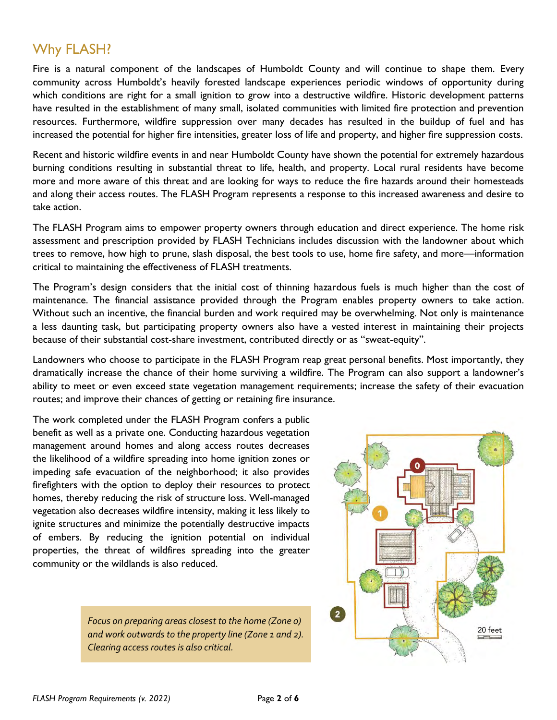### Why FLASH?

Fire is a natural component of the landscapes of Humboldt County and will continue to shape them. Every community across Humboldt's heavily forested landscape experiences periodic windows of opportunity during which conditions are right for a small ignition to grow into a destructive wildfire. Historic development patterns have resulted in the establishment of many small, isolated communities with limited fire protection and prevention resources. Furthermore, wildfire suppression over many decades has resulted in the buildup of fuel and has increased the potential for higher fire intensities, greater loss of life and property, and higher fire suppression costs.

Recent and historic wildfire events in and near Humboldt County have shown the potential for extremely hazardous burning conditions resulting in substantial threat to life, health, and property. Local rural residents have become more and more aware of this threat and are looking for ways to reduce the fire hazards around their homesteads and along their access routes. The FLASH Program represents a response to this increased awareness and desire to take action.

The FLASH Program aims to empower property owners through education and direct experience. The home risk assessment and prescription provided by FLASH Technicians includes discussion with the landowner about which trees to remove, how high to prune, slash disposal, the best tools to use, home fire safety, and more—information critical to maintaining the effectiveness of FLASH treatments.

The Program's design considers that the initial cost of thinning hazardous fuels is much higher than the cost of maintenance. The financial assistance provided through the Program enables property owners to take action. Without such an incentive, the financial burden and work required may be overwhelming. Not only is maintenance a less daunting task, but participating property owners also have a vested interest in maintaining their projects because of their substantial cost-share investment, contributed directly or as "sweat-equity".

Landowners who choose to participate in the FLASH Program reap great personal benefits. Most importantly, they dramatically increase the chance of their home surviving a wildfire. The Program can also support a landowner's ability to meet or even exceed state vegetation management requirements; increase the safety of their evacuation routes; and improve their chances of getting or retaining fire insurance.

The work completed under the FLASH Program confers a public benefit as well as a private one. Conducting hazardous vegetation management around homes and along access routes decreases the likelihood of a wildfire spreading into home ignition zones or impeding safe evacuation of the neighborhood; it also provides firefighters with the option to deploy their resources to protect homes, thereby reducing the risk of structure loss. Well-managed vegetation also decreases wildfire intensity, making it less likely to ignite structures and minimize the potentially destructive impacts of embers. By reducing the ignition potential on individual properties, the threat of wildfires spreading into the greater community or the wildlands is also reduced.

> *Focus on preparing areas closest to the home (Zone 0) and work outwards to the property line (Zone 1 and 2). Clearing access routes is also critical.*

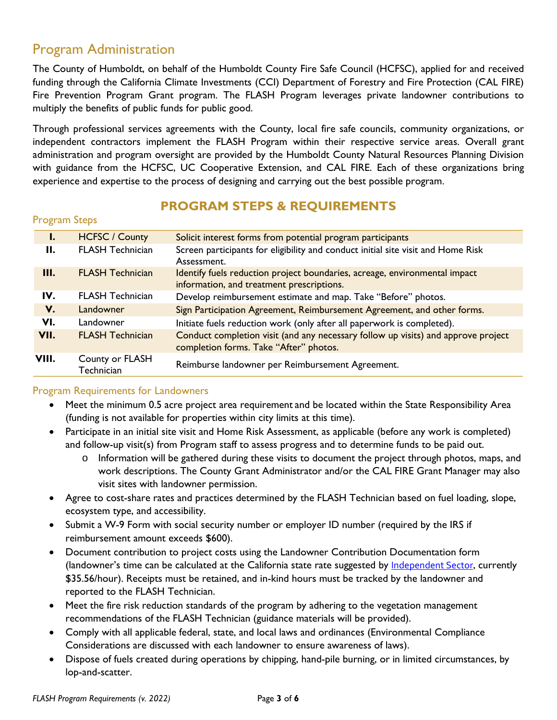### Program Administration

The County of Humboldt, on behalf of the Humboldt County Fire Safe Council (HCFSC), applied for and received funding through the California Climate Investments (CCI) Department of Forestry and Fire Protection (CAL FIRE) Fire Prevention Program Grant program. The FLASH Program leverages private landowner contributions to multiply the benefits of public funds for public good.

Through professional services agreements with the County, local fire safe councils, community organizations, or independent contractors implement the FLASH Program within their respective service areas. Overall grant administration and program oversight are provided by the Humboldt County Natural Resources Planning Division with guidance from the HCFSC, UC Cooperative Extension, and CAL FIRE. Each of these organizations bring experience and expertise to the process of designing and carrying out the best possible program.

### **PROGRAM STEPS & REQUIREMENTS**

| <b>Program Steps</b> |  |
|----------------------|--|
|----------------------|--|

| I.    | <b>HCFSC / County</b>         | Solicit interest forms from potential program participants                                                                  |
|-------|-------------------------------|-----------------------------------------------------------------------------------------------------------------------------|
| Н.    | <b>FLASH Technician</b>       | Screen participants for eligibility and conduct initial site visit and Home Risk<br>Assessment.                             |
| III.  | <b>FLASH Technician</b>       | Identify fuels reduction project boundaries, acreage, environmental impact<br>information, and treatment prescriptions.     |
| IV.   | <b>FLASH Technician</b>       | Develop reimbursement estimate and map. Take "Before" photos.                                                               |
| V.    | Landowner                     | Sign Participation Agreement, Reimbursement Agreement, and other forms.                                                     |
| VI.   | Landowner                     | Initiate fuels reduction work (only after all paperwork is completed).                                                      |
| VII.  | <b>FLASH Technician</b>       | Conduct completion visit (and any necessary follow up visits) and approve project<br>completion forms. Take "After" photos. |
| VIII. | County or FLASH<br>Technician | Reimburse landowner per Reimbursement Agreement.                                                                            |

#### Program Requirements for Landowners

- Meet the minimum 0.5 acre project area requirement and be located within the State Responsibility Area (funding is not available for properties within city limits at this time).
- Participate in an initial site visit and Home Risk Assessment, as applicable (before any work is completed) and follow-up visit(s) from Program staff to assess progress and to determine funds to be paid out.
	- o Information will be gathered during these visits to document the project through photos, maps, and work descriptions. The County Grant Administrator and/or the CAL FIRE Grant Manager may also visit sites with landowner permission.
- Agree to cost-share rates and practices determined by the FLASH Technician based on fuel loading, slope, ecosystem type, and accessibility.
- Submit a W-9 Form with social security number or employer ID number (required by the IRS if reimbursement amount exceeds \$600).
- Document contribution to project costs using the Landowner Contribution Documentation form (landowner's time can be calculated at the California state rate suggested by [Independent Sector](https://independentsector.org/resource/vovt_state_2022/), currently \$35.56/hour). Receipts must be retained, and in-kind hours must be tracked by the landowner and reported to the FLASH Technician.
- Meet the fire risk reduction standards of the program by adhering to the vegetation management recommendations of the FLASH Technician (guidance materials will be provided).
- Comply with all applicable federal, state, and local laws and ordinances (Environmental Compliance Considerations are discussed with each landowner to ensure awareness of laws).
- Dispose of fuels created during operations by chipping, hand-pile burning, or in limited circumstances, by lop-and-scatter.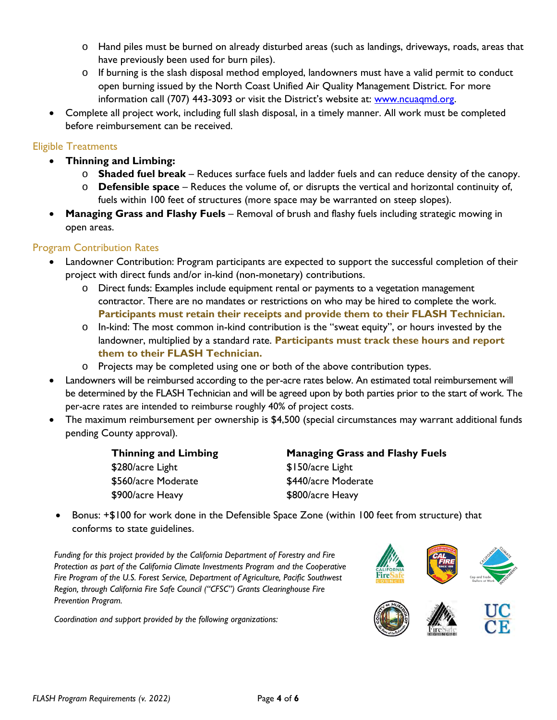- o Hand piles must be burned on already disturbed areas (such as landings, driveways, roads, areas that have previously been used for burn piles).
- o If burning is the slash disposal method employed, landowners must have a valid permit to conduct open burning issued by the North Coast Unified Air Quality Management District. For more information call (707) 443-3093 or visit the District's website at: [www.ncuaqmd.org.](file://///cty-fs-01/Natural%20Resources/FSC/Grants-Funding/CAL%20FIRE/2019-20%20Fire%20Prevention%20Grant%20Program%20FLASH/Project%20Files/Program%20Docs/www.ncuaqmd.org)
- Complete all project work, including full slash disposal, in a timely manner. All work must be completed before reimbursement can be received.

#### Eligible Treatments

- **Thinning and Limbing:**
	- o **Shaded fuel break** Reduces surface fuels and ladder fuels and can reduce density of the canopy.
	- o **Defensible space** Reduces the volume of, or disrupts the vertical and horizontal continuity of, fuels within 100 feet of structures (more space may be warranted on steep slopes).
- **Managing Grass and Flashy Fuels** Removal of brush and flashy fuels including strategic mowing in open areas.

#### Program Contribution Rates

- Landowner Contribution: Program participants are expected to support the successful completion of their project with direct funds and/or in-kind (non-monetary) contributions.
	- o Direct funds: Examples include equipment rental or payments to a vegetation management contractor. There are no mandates or restrictions on who may be hired to complete the work. **Participants must retain their receipts and provide them to their FLASH Technician.**
	- o In-kind: The most common in-kind contribution is the "sweat equity", or hours invested by the landowner, multiplied by a standard rate. **Participants must track these hours and report them to their FLASH Technician.**
	- o Projects may be completed using one or both of the above contribution types.
- Landowners will be reimbursed according to the per-acre rates below. An estimated total reimbursement will be determined by the FLASH Technician and will be agreed upon by both parties prior to the start of work. The per-acre rates are intended to reimburse roughly 40% of project costs.
- The maximum reimbursement per ownership is \$4,500 (special circumstances may warrant additional funds pending County approval).

| <b>Thinning and Limbing</b> | <b>Managing Grass and Flashy Fuels</b> |
|-----------------------------|----------------------------------------|
| \$280/acre Light            | \$150/acre Light                       |
| \$560/acre Moderate         | \$440/acre Moderate                    |
| \$900/acre Heavy            | \$800/acre Heavy                       |

• Bonus: +\$100 for work done in the Defensible Space Zone (within 100 feet from structure) that conforms to state guidelines.

*Funding for this project provided by the California Department of Forestry and Fire Protection as part of the California Climate Investments Program and the Cooperative Fire Program of the U.S. Forest Service, Department of Agriculture, Pacific Southwest Region, through California Fire Safe Council ("CFSC") Grants Clearinghouse Fire Prevention Program.*

*Coordination and support provided by the following organizations:*

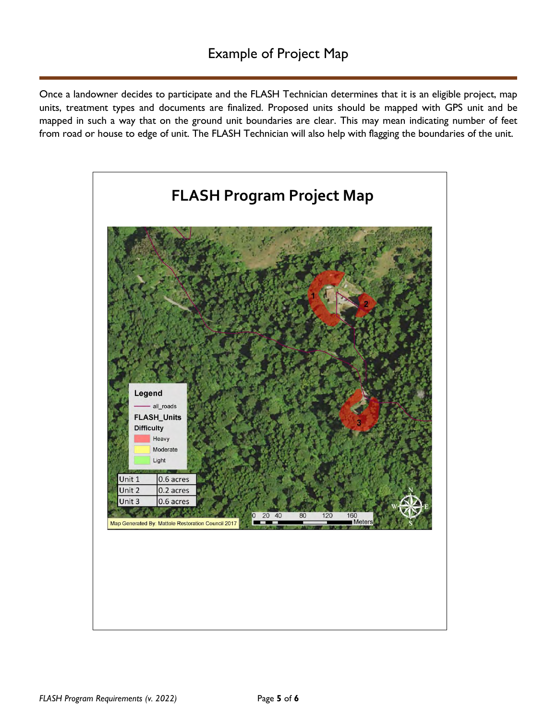Once a landowner decides to participate and the FLASH Technician determines that it is an eligible project, map units, treatment types and documents are finalized. Proposed units should be mapped with GPS unit and be mapped in such a way that on the ground unit boundaries are clear. This may mean indicating number of feet from road or house to edge of unit. The FLASH Technician will also help with flagging the boundaries of the unit.